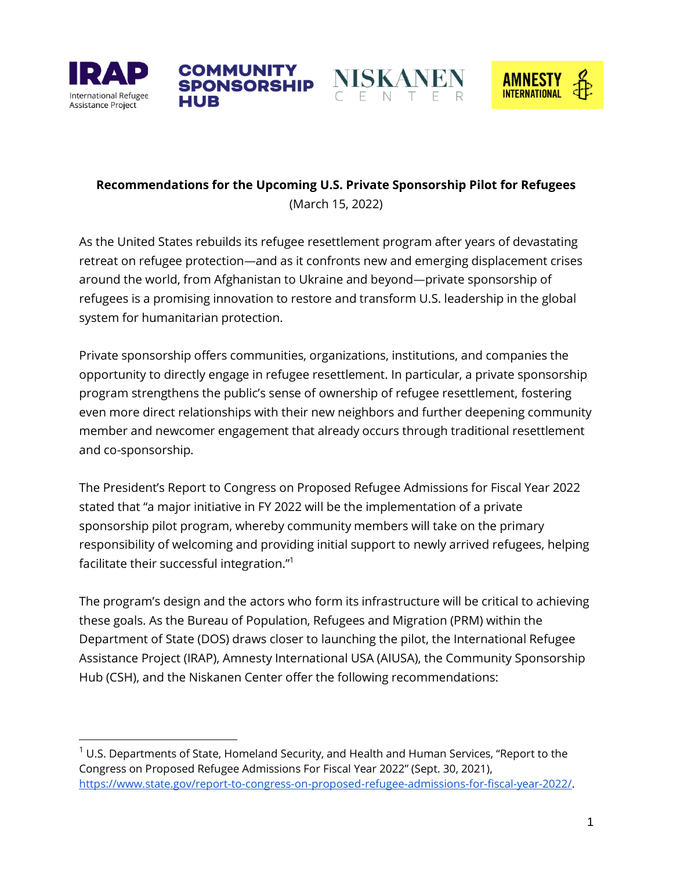





# **Recommendations for the Upcoming U.S. Private Sponsorship Pilot for Refugees** (March 15, 2022)

**COMMUNITY** 

**SPONSORSHIP** 

As the United States rebuilds its refugee resettlement program after years of devastating retreat on refugee protection*—*and as it confronts new and emerging displacement crises around the world, from Afghanistan to Ukraine and beyond*—*private sponsorship of refugees is a promising innovation to restore and transform U.S. leadership in the global system for humanitarian protection.

Private sponsorship offers communities, organizations, institutions, and companies the opportunity to directly engage in refugee resettlement. In particular, a private sponsorship program strengthens the public's sense of ownership of refugee resettlement, fostering even more direct relationships with their new neighbors and further deepening community member and newcomer engagement that already occurs through traditional resettlement and co-sponsorship.

The President's Report to Congress on Proposed Refugee Admissions for Fiscal Year 2022 stated that "a major initiative in FY 2022 will be the implementation of a private sponsorship pilot program, whereby community members will take on the primary responsibility of welcoming and providing initial support to newly arrived refugees, helping facilitate their successful integration."<sup>1</sup>

The program's design and the actors who form its infrastructure will be critical to achieving these goals. As the Bureau of Population, Refugees and Migration (PRM) within the Department of State (DOS) draws closer to launching the pilot, the International Refugee Assistance Project (IRAP), Amnesty International USA (AIUSA), the Community Sponsorship Hub (CSH), and the Niskanen Center offer the following recommendations:

 $1$  U.S. Departments of State, Homeland Security, and Health and Human Services, "Report to the Congress on Proposed Refugee Admissions For Fiscal Year 2022" (Sept. 30, 2021), [https://www.state.gov/report-to-congress-on-proposed-refugee-admissions-for-fiscal-year-2022/.](https://www.state.gov/report-to-congress-on-proposed-refugee-admissions-for-fiscal-year-2022/)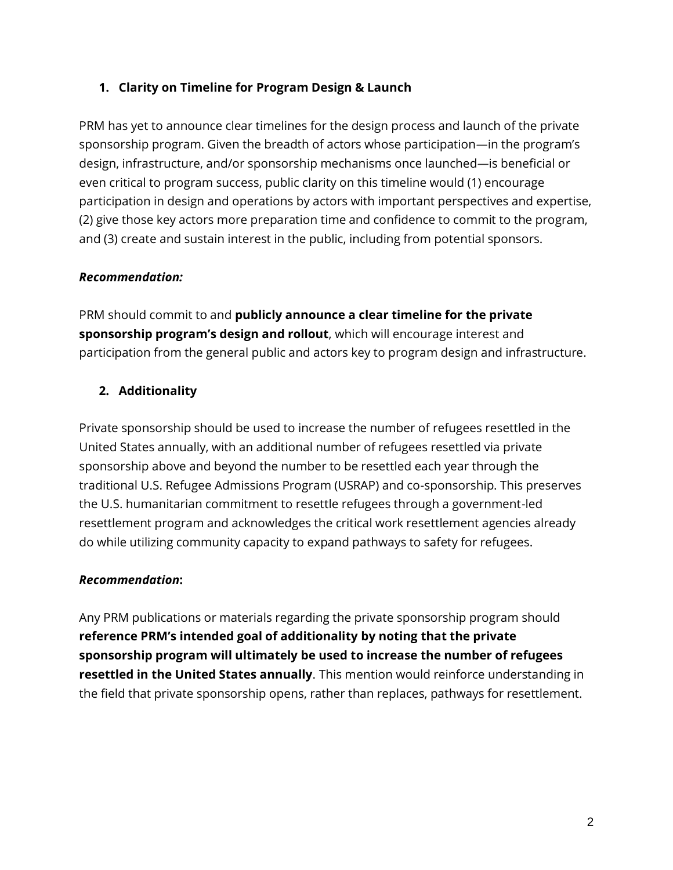### **1. Clarity on Timeline for Program Design & Launch**

PRM has yet to announce clear timelines for the design process and launch of the private sponsorship program. Given the breadth of actors whose participation*—*in the program's design, infrastructure, and/or sponsorship mechanisms once launched*—*is beneficial or even critical to program success, public clarity on this timeline would (1) encourage participation in design and operations by actors with important perspectives and expertise, (2) give those key actors more preparation time and confidence to commit to the program, and (3) create and sustain interest in the public, including from potential sponsors.

### *Recommendation:*

PRM should commit to and **publicly announce a clear timeline for the private sponsorship program's design and rollout**, which will encourage interest and participation from the general public and actors key to program design and infrastructure.

### **2. Additionality**

Private sponsorship should be used to increase the number of refugees resettled in the United States annually, with an additional number of refugees resettled via private sponsorship above and beyond the number to be resettled each year through the traditional U.S. Refugee Admissions Program (USRAP) and co-sponsorship. This preserves the U.S. humanitarian commitment to resettle refugees through a government-led resettlement program and acknowledges the critical work resettlement agencies already do while utilizing community capacity to expand pathways to safety for refugees.

### *Recommendation***:**

Any PRM publications or materials regarding the private sponsorship program should **reference PRM's intended goal of additionality by noting that the private sponsorship program will ultimately be used to increase the number of refugees resettled in the United States annually**. This mention would reinforce understanding in the field that private sponsorship opens, rather than replaces, pathways for resettlement.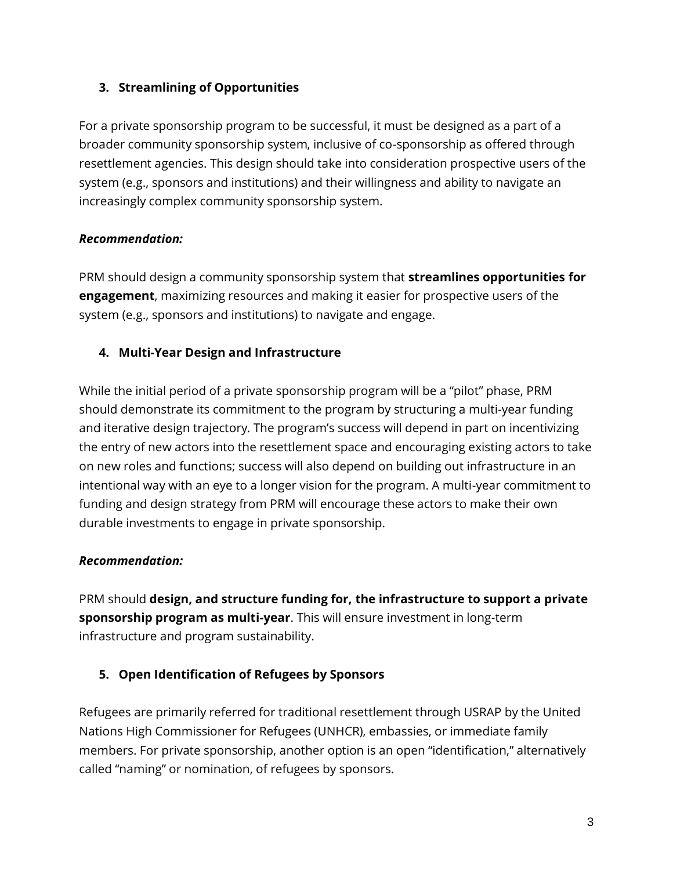### **3. Streamlining of Opportunities**

For a private sponsorship program to be successful, it must be designed as a part of a broader community sponsorship system, inclusive of co-sponsorship as offered through resettlement agencies. This design should take into consideration prospective users of the system (e.g., sponsors and institutions) and their willingness and ability to navigate an increasingly complex community sponsorship system.

### *Recommendation:*

PRM should design a community sponsorship system that **streamlines opportunities for engagement**, maximizing resources and making it easier for prospective users of the system (e.g., sponsors and institutions) to navigate and engage.

# **4. Multi-Year Design and Infrastructure**

While the initial period of a private sponsorship program will be a "pilot" phase, PRM should demonstrate its commitment to the program by structuring a multi-year funding and iterative design trajectory. The program's success will depend in part on incentivizing the entry of new actors into the resettlement space and encouraging existing actors to take on new roles and functions; success will also depend on building out infrastructure in an intentional way with an eye to a longer vision for the program. A multi-year commitment to funding and design strategy from PRM will encourage these actors to make their own durable investments to engage in private sponsorship.

# *Recommendation:*

PRM should **design, and structure funding for, the infrastructure to support a private sponsorship program as multi-year**. This will ensure investment in long-term infrastructure and program sustainability.

# **5. Open Identification of Refugees by Sponsors**

Refugees are primarily referred for traditional resettlement through USRAP by the United Nations High Commissioner for Refugees (UNHCR), embassies, or immediate family members. For private sponsorship, another option is an open "identification," alternatively called "naming" or nomination, of refugees by sponsors.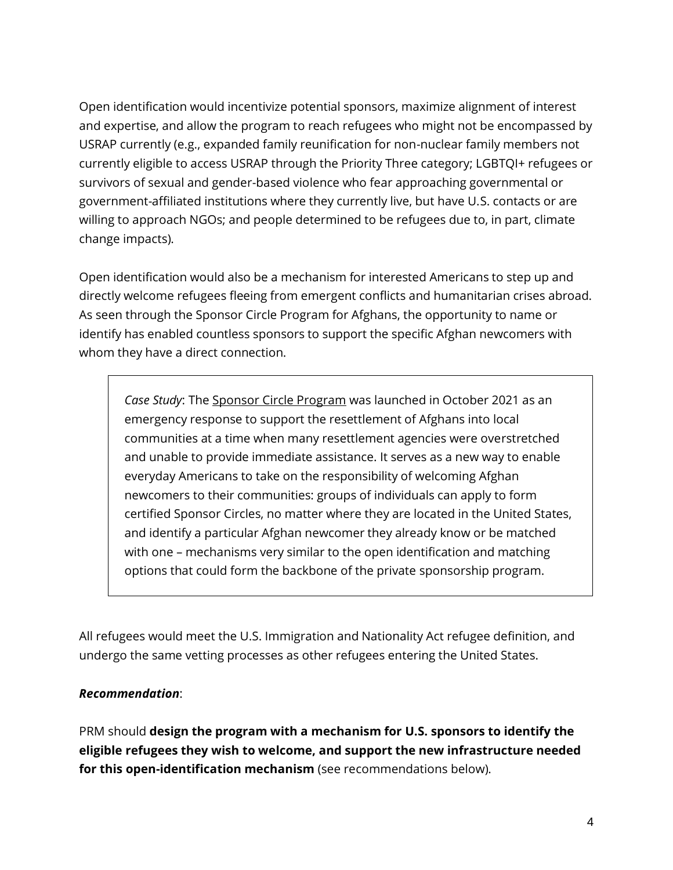Open identification would incentivize potential sponsors, maximize alignment of interest and expertise, and allow the program to reach refugees who might not be encompassed by USRAP currently (e.g., expanded family reunification for non-nuclear family members not currently eligible to access USRAP through the Priority Three category; LGBTQI+ refugees or survivors of sexual and gender-based violence who fear approaching governmental or government-affiliated institutions where they currently live, but have U.S. contacts or are willing to approach NGOs; and people determined to be refugees due to, in part, climate change impacts).

Open identification would also be a mechanism for interested Americans to step up and directly welcome refugees fleeing from emergent conflicts and humanitarian crises abroad. As seen through the Sponsor Circle Program for Afghans, the opportunity to name or identify has enabled countless sponsors to support the specific Afghan newcomers with whom they have a direct connection.

*Case Study*: The [Sponsor Circle Program](https://www.sponsorcircles.org/) was launched in October 2021 as an emergency response to support the resettlement of Afghans into local communities at a time when many resettlement agencies were overstretched and unable to provide immediate assistance. It serves as a new way to enable everyday Americans to take on the responsibility of welcoming Afghan newcomers to their communities: groups of individuals can apply to form certified Sponsor Circles, no matter where they are located in the United States, and identify a particular Afghan newcomer they already know or be matched with one – mechanisms very similar to the open identification and matching options that could form the backbone of the private sponsorship program.

All refugees would meet the U.S. Immigration and Nationality Act refugee definition, and undergo the same vetting processes as other refugees entering the United States.

#### *Recommendation*:

PRM should **design the program with a mechanism for U.S. sponsors to identify the eligible refugees they wish to welcome, and support the new infrastructure needed for this open-identification mechanism** (see recommendations below).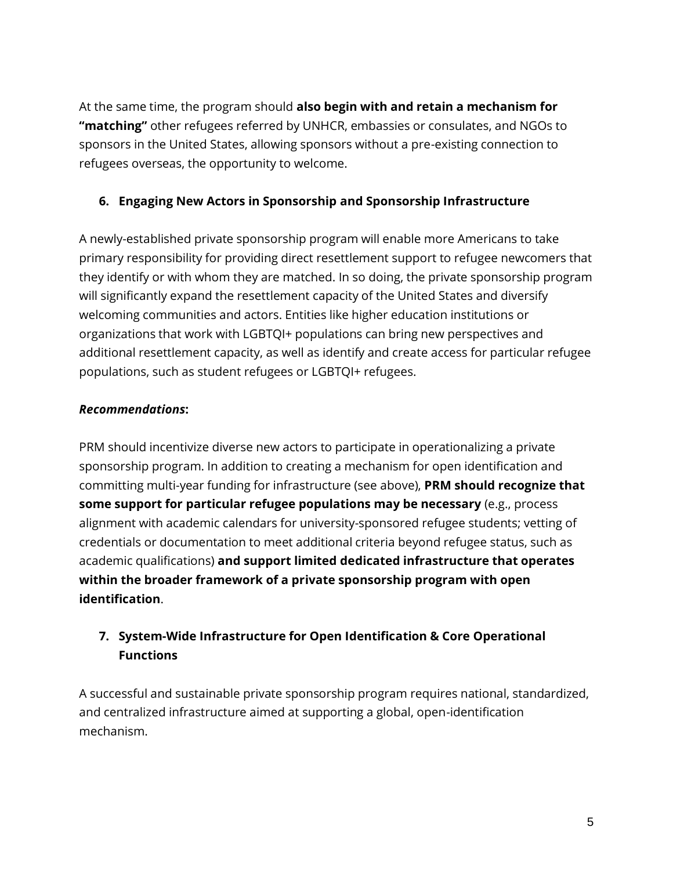At the same time, the program should **also begin with and retain a mechanism for "matching"** other refugees referred by UNHCR, embassies or consulates, and NGOs to sponsors in the United States, allowing sponsors without a pre-existing connection to refugees overseas, the opportunity to welcome.

### **6. Engaging New Actors in Sponsorship and Sponsorship Infrastructure**

A newly-established private sponsorship program will enable more Americans to take primary responsibility for providing direct resettlement support to refugee newcomers that they identify or with whom they are matched. In so doing, the private sponsorship program will significantly expand the resettlement capacity of the United States and diversify welcoming communities and actors. Entities like higher education institutions or organizations that work with LGBTQI+ populations can bring new perspectives and additional resettlement capacity, as well as identify and create access for particular refugee populations, such as student refugees or LGBTQI+ refugees.

### *Recommendations***:**

PRM should incentivize diverse new actors to participate in operationalizing a private sponsorship program. In addition to creating a mechanism for open identification and committing multi-year funding for infrastructure (see above), **PRM should recognize that some support for particular refugee populations may be necessary** (e.g., process alignment with academic calendars for university-sponsored refugee students; vetting of credentials or documentation to meet additional criteria beyond refugee status, such as academic qualifications) **and support limited dedicated infrastructure that operates within the broader framework of a private sponsorship program with open identification**.

# **7. System-Wide Infrastructure for Open Identification & Core Operational Functions**

A successful and sustainable private sponsorship program requires national, standardized, and centralized infrastructure aimed at supporting a global, open-identification mechanism.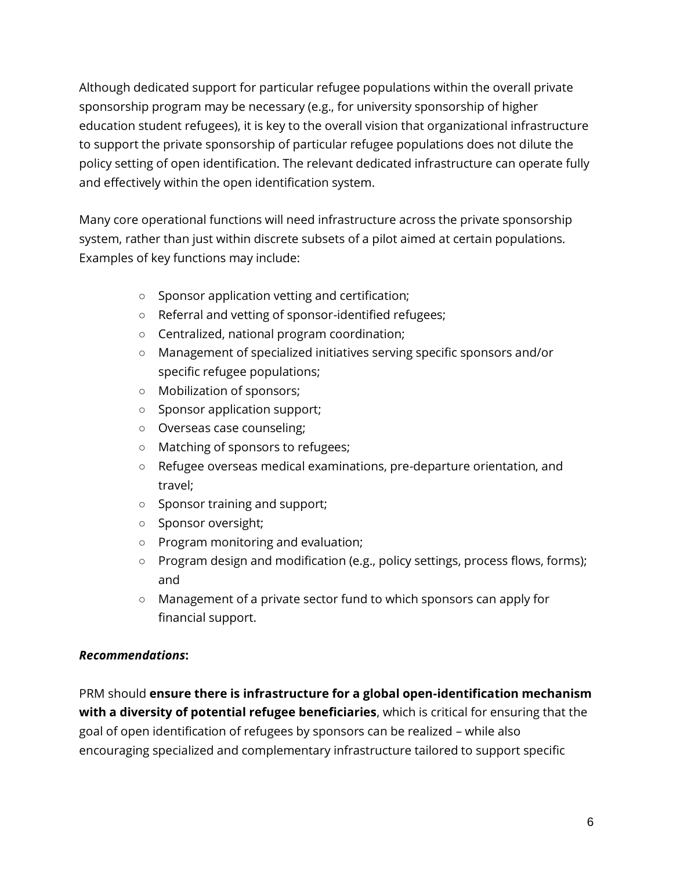Although dedicated support for particular refugee populations within the overall private sponsorship program may be necessary (e.g., for university sponsorship of higher education student refugees), it is key to the overall vision that organizational infrastructure to support the private sponsorship of particular refugee populations does not dilute the policy setting of open identification. The relevant dedicated infrastructure can operate fully and effectively within the open identification system.

Many core operational functions will need infrastructure across the private sponsorship system, rather than just within discrete subsets of a pilot aimed at certain populations. Examples of key functions may include:

- Sponsor application vetting and certification;
- Referral and vetting of sponsor-identified refugees;
- Centralized, national program coordination;
- Management of specialized initiatives serving specific sponsors and/or specific refugee populations;
- Mobilization of sponsors;
- Sponsor application support;
- Overseas case counseling;
- Matching of sponsors to refugees;
- Refugee overseas medical examinations, pre-departure orientation, and travel;
- Sponsor training and support;
- Sponsor oversight;
- Program monitoring and evaluation;
- Program design and modification (e.g., policy settings, process flows, forms); and
- Management of a private sector fund to which sponsors can apply for financial support.

### *Recommendations***:**

PRM should **ensure there is infrastructure for a global open-identification mechanism with a diversity of potential refugee beneficiaries**, which is critical for ensuring that the goal of open identification of refugees by sponsors can be realized – while also encouraging specialized and complementary infrastructure tailored to support specific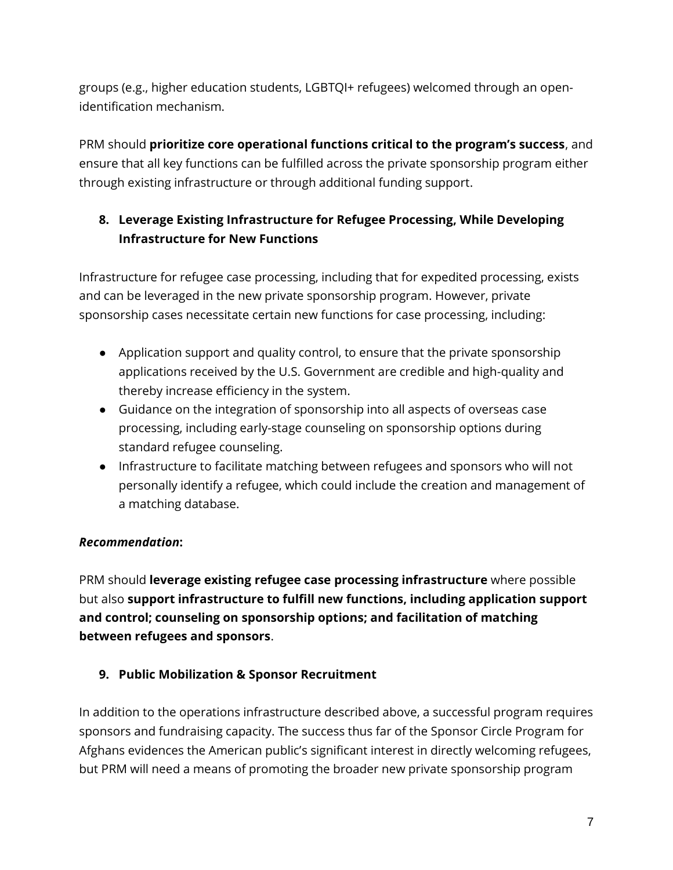groups (e.g., higher education students, LGBTQI+ refugees) welcomed through an openidentification mechanism.

PRM should **prioritize core operational functions critical to the program's success**, and ensure that all key functions can be fulfilled across the private sponsorship program either through existing infrastructure or through additional funding support.

# **8. Leverage Existing Infrastructure for Refugee Processing, While Developing Infrastructure for New Functions**

Infrastructure for refugee case processing, including that for expedited processing, exists and can be leveraged in the new private sponsorship program. However, private sponsorship cases necessitate certain new functions for case processing, including:

- Application support and quality control, to ensure that the private sponsorship applications received by the U.S. Government are credible and high-quality and thereby increase efficiency in the system.
- Guidance on the integration of sponsorship into all aspects of overseas case processing, including early-stage counseling on sponsorship options during standard refugee counseling.
- Infrastructure to facilitate matching between refugees and sponsors who will not personally identify a refugee, which could include the creation and management of a matching database.

# *Recommendation***:**

PRM should **leverage existing refugee case processing infrastructure** where possible but also **support infrastructure to fulfill new functions, including application support and control; counseling on sponsorship options; and facilitation of matching between refugees and sponsors**.

### **9. Public Mobilization & Sponsor Recruitment**

In addition to the operations infrastructure described above, a successful program requires sponsors and fundraising capacity. The success thus far of the Sponsor Circle Program for Afghans evidences the American public's significant interest in directly welcoming refugees, but PRM will need a means of promoting the broader new private sponsorship program